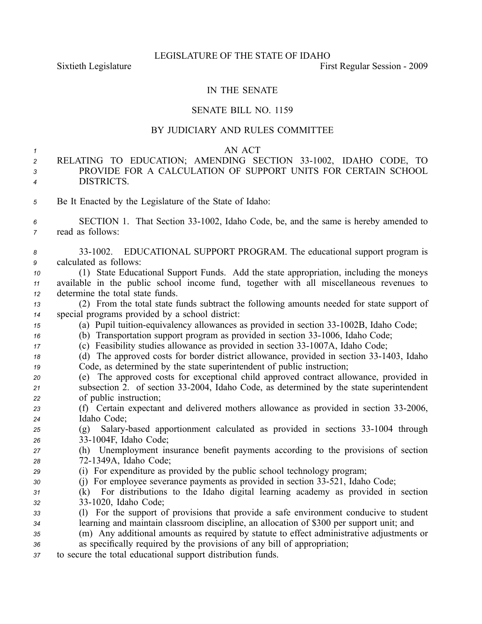# IN THE SENATE

## SENATE BILL NO. 1159

# BY JUDICIARY AND RULES COMMITTEE

### *1* AN ACT

- *<sup>2</sup>* RELATING TO EDUCATION; AMENDING SECTION 331002, IDAHO CODE, TO *3* PROVIDE FOR A CALCULATION OF SUPPORT UNITS FOR CERTAIN SCHOOL *<sup>4</sup>* DISTRICTS.
- *<sup>5</sup>* Be It Enacted by the Legislature of the State of Idaho:
- *<sup>6</sup>* SECTION 1. That Section 331002, Idaho Code, be, and the same is hereby amended to *<sup>7</sup>* read as follows:
- *<sup>8</sup>* 331002. EDUCATIONAL SUPPORT PROGRAM. The educational suppor<sup>t</sup> program is *<sup>9</sup>* calculated as follows:
- *<sup>10</sup>* (1) State Educational Support Funds. Add the state appropriation, including the moneys *<sup>11</sup>* available in the public school income fund, together with all miscellaneous revenues to *<sup>12</sup>* determine the total state funds.
- *<sup>13</sup>* (2) From the total state funds subtract the following amounts needed for state suppor<sup>t</sup> of *<sup>14</sup>* special programs provided by <sup>a</sup> school district:
- *15* (a) Pupil tuition-equivalency allowances as provided in section 33-1002B, Idaho Code;
- *16* (b) Transportation support program as provided in section 33-1006, Idaho Code;
- *17* (c) Feasibility studies allowance as provided in section 33-1007A, Idaho Code;
- *18* (d) The approved costs for border district allowance, provided in section 33-1403, Idaho *<sup>19</sup>* Code, as determined by the state superintendent of public instruction;
- *<sup>20</sup>* (e) The approved costs for exceptional child approved contract allowance, provided in *<sup>21</sup>* subsection 2. of section 332004, Idaho Code, as determined by the state superintendent *<sup>22</sup>* of public instruction;
- *<sup>23</sup>* (f) Certain expectant and delivered mothers allowance as provided in section 332006, *<sup>24</sup>* Idaho Code;
- 25 (g) Salary-based apportionment calculated as provided in sections 33-1004 through *<sup>26</sup>* 331004F, Idaho Code;
- *<sup>27</sup>* (h) Unemployment insurance benefit payments according to the provisions of section *<sup>28</sup>* 721349A, Idaho Code;
- *<sup>29</sup>* (i) For expenditure as provided by the public school technology program;
- 30 (j) For employee severance payments as provided in section 33-521, Idaho Code;
- *<sup>31</sup>* (k) For distributions to the Idaho digital learning academy as provided in section *<sup>32</sup>* 331020, Idaho Code;
- *<sup>33</sup>* (l) For the suppor<sup>t</sup> of provisions that provide <sup>a</sup> safe environment conducive to student *<sup>34</sup>* learning and maintain classroom discipline, an allocation of \$300 per suppor<sup>t</sup> unit; and
- *<sup>35</sup>* (m) Any additional amounts as required by statute to effect administrative adjustments or
- *<sup>36</sup>* as specifically required by the provisions of any bill of appropriation;
- *<sup>37</sup>* to secure the total educational suppor<sup>t</sup> distribution funds.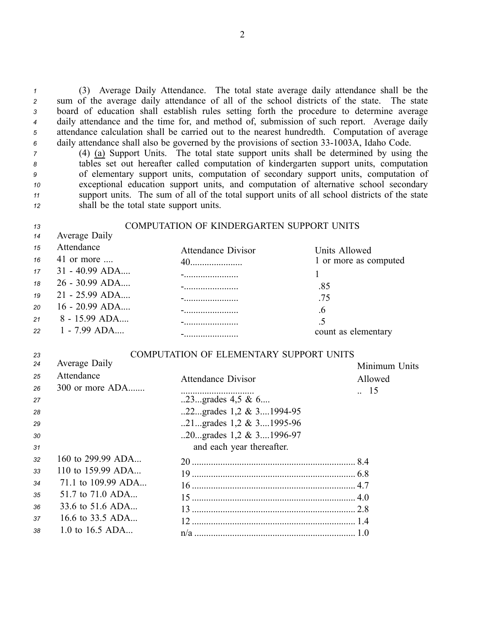(3) Average Daily Attendance. The total state average daily attendance shall be the sum of the average daily attendance of all of the school districts of the state. The state board of education shall establish rules setting forth the procedure to determine average daily attendance and the time for, and method of, submission of such report. Average daily attendance calculation shall be carried out to the nearest hundredth. Computation of average 6 daily attendance shall also be governed by the provisions of section 33-1003A, Idaho Code.

 (4) (a) Support Units. The total state suppor<sup>t</sup> units shall be determined by using the tables set out hereafter called computation of kindergarten suppor<sup>t</sup> units, computation of elementary suppor<sup>t</sup> units, computation of secondary suppor<sup>t</sup> units, computation of exceptional education suppor<sup>t</sup> units, and computation of alternative school secondary suppor<sup>t</sup> units. The sum of all of the total suppor<sup>t</sup> units of all school districts of the state shall be the total state suppor<sup>t</sup> units.

| 13               | COMPUTATION OF KINDERGARTEN SUPPORT UNITS |                                     |                       |  |  |
|------------------|-------------------------------------------|-------------------------------------|-----------------------|--|--|
| 14               | Average Daily                             |                                     |                       |  |  |
| 15               | Attendance                                | <b>Attendance Divisor</b>           | Units Allowed         |  |  |
| 16               | 41 or more $\dots$                        |                                     | 1 or more as computed |  |  |
| 17 <sup>17</sup> | $31 - 40.99$ ADA                          |                                     |                       |  |  |
| 18               | 26 - 30.99 ADA                            | the contract of the contract of the | .85                   |  |  |
| 19               | 21 - 25.99 ADA                            |                                     | .75                   |  |  |
| 20               | $16 - 20.99$ ADA                          |                                     | .6                    |  |  |
| 21               | $8 - 15.99$ ADA                           |                                     | .5                    |  |  |
| 22               | 1 - 7.99 ADA                              | ---------------------------         | count as elementary   |  |  |

## *23* COMPUTATION OF ELEMENTARY SUPPORT UNITS

| 24 | Average Daily       |                             | Minimum Units   |
|----|---------------------|-----------------------------|-----------------|
| 25 | Attendance          | <b>Attendance Divisor</b>   | Allowed         |
| 26 | $300$ or more $ADA$ |                             | $\therefore$ 15 |
| 27 |                     | 23grades $4.5 \& 6$         |                 |
| 28 |                     | 22grades $1,2 \& 3$ 1994-95 |                 |
| 29 |                     | 21grades $1,2 \& 3$ 1995-96 |                 |
| 30 |                     | 20grades $1,2 \& 3$ 1996-97 |                 |
| 31 |                     | and each year thereafter.   |                 |
| 32 | 160 to 299.99 ADA   |                             |                 |
| 33 | 110 to 159.99 ADA   |                             |                 |
| 34 | 71.1 to 109.99 ADA  |                             |                 |
| 35 | 51.7 to 71.0 ADA    |                             |                 |
| 36 | 33.6 to 51.6 ADA    |                             |                 |
| 37 | 16.6 to 33.5 ADA    |                             |                 |
| 38 | 1.0 to 16.5 ADA     |                             |                 |
|    |                     |                             |                 |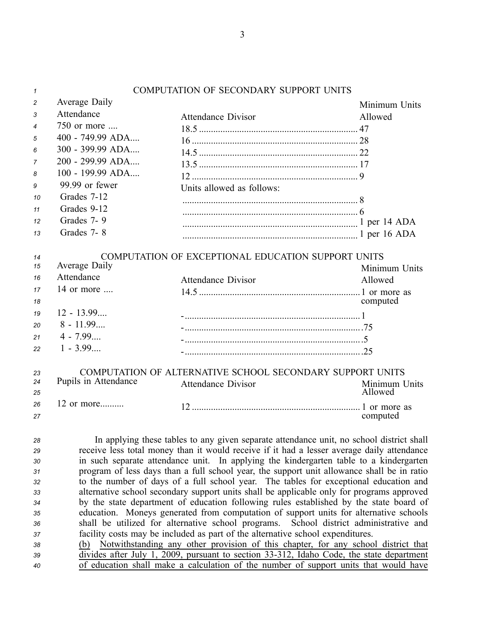| $\mathbf{1}$                                       |                      | <b>COMPUTATION OF SECONDARY SUPPORT UNITS</b>                                                                                                                                                                                                                                                                                                                                                                                                                                                                                                                                                                                                                                                                                                                                                                 |                                    |
|----------------------------------------------------|----------------------|---------------------------------------------------------------------------------------------------------------------------------------------------------------------------------------------------------------------------------------------------------------------------------------------------------------------------------------------------------------------------------------------------------------------------------------------------------------------------------------------------------------------------------------------------------------------------------------------------------------------------------------------------------------------------------------------------------------------------------------------------------------------------------------------------------------|------------------------------------|
| 2                                                  | Average Daily        |                                                                                                                                                                                                                                                                                                                                                                                                                                                                                                                                                                                                                                                                                                                                                                                                               | Minimum Units                      |
| 3                                                  | Attendance           | <b>Attendance Divisor</b>                                                                                                                                                                                                                                                                                                                                                                                                                                                                                                                                                                                                                                                                                                                                                                                     | Allowed                            |
| 4                                                  | 750 or more          |                                                                                                                                                                                                                                                                                                                                                                                                                                                                                                                                                                                                                                                                                                                                                                                                               |                                    |
| 5                                                  | 400 - 749.99 ADA     |                                                                                                                                                                                                                                                                                                                                                                                                                                                                                                                                                                                                                                                                                                                                                                                                               |                                    |
| 6                                                  | 300 - 399.99 ADA     |                                                                                                                                                                                                                                                                                                                                                                                                                                                                                                                                                                                                                                                                                                                                                                                                               |                                    |
| 7                                                  | 200 - 299.99 ADA     |                                                                                                                                                                                                                                                                                                                                                                                                                                                                                                                                                                                                                                                                                                                                                                                                               |                                    |
| 8                                                  | 100 - 199.99 ADA     |                                                                                                                                                                                                                                                                                                                                                                                                                                                                                                                                                                                                                                                                                                                                                                                                               |                                    |
| 9                                                  | 99.99 or fewer       | Units allowed as follows:                                                                                                                                                                                                                                                                                                                                                                                                                                                                                                                                                                                                                                                                                                                                                                                     |                                    |
| 10                                                 | Grades 7-12          |                                                                                                                                                                                                                                                                                                                                                                                                                                                                                                                                                                                                                                                                                                                                                                                                               |                                    |
| 11                                                 | Grades 9-12          |                                                                                                                                                                                                                                                                                                                                                                                                                                                                                                                                                                                                                                                                                                                                                                                                               |                                    |
| 12                                                 | Grades 7-9           |                                                                                                                                                                                                                                                                                                                                                                                                                                                                                                                                                                                                                                                                                                                                                                                                               |                                    |
| 13                                                 | Grades 7-8           |                                                                                                                                                                                                                                                                                                                                                                                                                                                                                                                                                                                                                                                                                                                                                                                                               |                                    |
| 14                                                 |                      | COMPUTATION OF EXCEPTIONAL EDUCATION SUPPORT UNITS                                                                                                                                                                                                                                                                                                                                                                                                                                                                                                                                                                                                                                                                                                                                                            |                                    |
| 15                                                 | Average Daily        |                                                                                                                                                                                                                                                                                                                                                                                                                                                                                                                                                                                                                                                                                                                                                                                                               | Minimum Units                      |
| 16                                                 | Attendance           | <b>Attendance Divisor</b>                                                                                                                                                                                                                                                                                                                                                                                                                                                                                                                                                                                                                                                                                                                                                                                     | Allowed                            |
| 17                                                 | 14 or more           |                                                                                                                                                                                                                                                                                                                                                                                                                                                                                                                                                                                                                                                                                                                                                                                                               |                                    |
| 18                                                 |                      |                                                                                                                                                                                                                                                                                                                                                                                                                                                                                                                                                                                                                                                                                                                                                                                                               | computed                           |
| 19                                                 | $12 - 13.99$         |                                                                                                                                                                                                                                                                                                                                                                                                                                                                                                                                                                                                                                                                                                                                                                                                               |                                    |
| 20                                                 | $8 - 11.99$          |                                                                                                                                                                                                                                                                                                                                                                                                                                                                                                                                                                                                                                                                                                                                                                                                               |                                    |
| 21                                                 | $4 - 7.99$           |                                                                                                                                                                                                                                                                                                                                                                                                                                                                                                                                                                                                                                                                                                                                                                                                               |                                    |
| 22                                                 | $1 - 3.99$           |                                                                                                                                                                                                                                                                                                                                                                                                                                                                                                                                                                                                                                                                                                                                                                                                               |                                    |
| 23                                                 |                      | COMPUTATION OF ALTERNATIVE SCHOOL SECONDARY SUPPORT UNITS                                                                                                                                                                                                                                                                                                                                                                                                                                                                                                                                                                                                                                                                                                                                                     |                                    |
| 24<br>25                                           | Pupils in Attendance | <b>Attendance Divisor</b>                                                                                                                                                                                                                                                                                                                                                                                                                                                                                                                                                                                                                                                                                                                                                                                     | Minimum Units<br>Allowed           |
| 26                                                 | 12 or more           |                                                                                                                                                                                                                                                                                                                                                                                                                                                                                                                                                                                                                                                                                                                                                                                                               |                                    |
| 27                                                 |                      |                                                                                                                                                                                                                                                                                                                                                                                                                                                                                                                                                                                                                                                                                                                                                                                                               | computed                           |
| 28<br>29<br>30<br>31<br>32<br>33<br>34<br>35<br>36 |                      | In applying these tables to any given separate attendance unit, no school district shall<br>receive less total money than it would receive if it had a lesser average daily attendance<br>in such separate attendance unit. In applying the kindergarten table to a kindergarten<br>program of less days than a full school year, the support unit allowance shall be in ratio<br>to the number of days of a full school year. The tables for exceptional education and<br>alternative school secondary support units shall be applicable only for programs approved<br>by the state department of education following rules established by the state board of<br>education. Moneys generated from computation of support units for alternative schools<br>shall be utilized for alternative school programs. | School district administrative and |
| 37                                                 |                      | facility costs may be included as part of the alternative school expenditures.                                                                                                                                                                                                                                                                                                                                                                                                                                                                                                                                                                                                                                                                                                                                |                                    |
| 38                                                 |                      | (b) Notwithstanding any other provision of this chapter, for any school district that                                                                                                                                                                                                                                                                                                                                                                                                                                                                                                                                                                                                                                                                                                                         |                                    |
| 39                                                 |                      | divides after July 1, 2009, pursuant to section 33-312, Idaho Code, the state department                                                                                                                                                                                                                                                                                                                                                                                                                                                                                                                                                                                                                                                                                                                      |                                    |
| 40                                                 |                      | of education shall make a calculation of the number of support units that would have                                                                                                                                                                                                                                                                                                                                                                                                                                                                                                                                                                                                                                                                                                                          |                                    |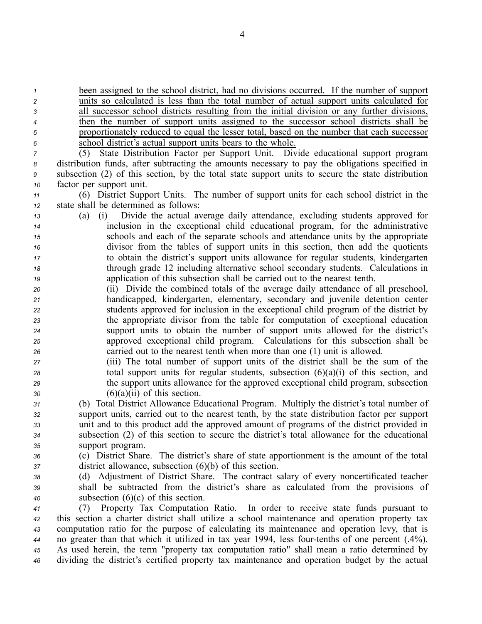been assigned to the school district, had no divisions occurred. If the number of suppor<sup>t</sup> units so calculated is less than the total number of actual suppor<sup>t</sup> units calculated for all successor school districts resulting from the initial division or any further divisions, then the number of suppor<sup>t</sup> units assigned to the successor school districts shall be proportionately reduced to equal the lesser total, based on the number that each successor school district's actual suppor<sup>t</sup> units bears to the whole.

 (5) State Distribution Factor per Support Unit. Divide educational suppor<sup>t</sup> program distribution funds, after subtracting the amounts necessary to pay the obligations specified in subsection (2) of this section, by the total state suppor<sup>t</sup> units to secure the state distribution factor per suppor<sup>t</sup> unit.

*<sup>11</sup>* (6) District Support Units. The number of suppor<sup>t</sup> units for each school district in the *<sup>12</sup>* state shall be determined as follows:

- *<sup>13</sup>* (a) (i) Divide the actual average daily attendance, excluding students approved for *<sup>14</sup>* inclusion in the exceptional child educational program, for the administrative *<sup>15</sup>* schools and each of the separate schools and attendance units by the appropriate *<sup>16</sup>* divisor from the tables of suppor<sup>t</sup> units in this section, then add the quotients *<sup>17</sup>* to obtain the district's suppor<sup>t</sup> units allowance for regular students, kindergarten *<sup>18</sup>* through grade 12 including alternative school secondary students. Calculations in *<sup>19</sup>* application of this subsection shall be carried out to the nearest tenth.
- *<sup>20</sup>* (ii) Divide the combined totals of the average daily attendance of all preschool, *<sup>21</sup>* handicapped, kindergarten, elementary, secondary and juvenile detention center *<sup>22</sup>* students approved for inclusion in the exceptional child program of the district by *<sup>23</sup>* the appropriate divisor from the table for computation of exceptional education *<sup>24</sup>* suppor<sup>t</sup> units to obtain the number of suppor<sup>t</sup> units allowed for the district's *<sup>25</sup>* approved exceptional child program. Calculations for this subsection shall be *<sup>26</sup>* carried out to the nearest tenth when more than one (1) unit is allowed.
- *<sup>27</sup>* (iii) The total number of suppor<sup>t</sup> units of the district shall be the sum of the *<sup>28</sup>* total suppor<sup>t</sup> units for regular students, subsection (6)(a)(i) of this section, and *<sup>29</sup>* the suppor<sup>t</sup> units allowance for the approved exceptional child program, subsection *<sup>30</sup>* (6)(a)(ii) of this section.
- *<sup>31</sup>* (b) Total District Allowance Educational Program. Multiply the district's total number of *<sup>32</sup>* suppor<sup>t</sup> units, carried out to the nearest tenth, by the state distribution factor per suppor<sup>t</sup> *<sup>33</sup>* unit and to this product add the approved amount of programs of the district provided in *<sup>34</sup>* subsection (2) of this section to secure the district's total allowance for the educational *<sup>35</sup>* support program.
- *<sup>36</sup>* (c) District Share. The district's share of state apportionment is the amount of the total *<sup>37</sup>* district allowance, subsection (6)(b) of this section.
- *<sup>38</sup>* (d) Adjustment of District Share. The contract salary of every noncertificated teacher *<sup>39</sup>* shall be subtracted from the district's share as calculated from the provisions of *<sup>40</sup>* subsection (6)(c) of this section.

 (7) Property Tax Computation Ratio. In order to receive state funds pursuan<sup>t</sup> to this section <sup>a</sup> charter district shall utilize <sup>a</sup> school maintenance and operation property tax computation ratio for the purpose of calculating its maintenance and operation levy, that is no greater than that which it utilized in tax year 1994, less four-tenths of one percent (.4%). As used herein, the term "property tax computation ratio" shall mean <sup>a</sup> ratio determined by dividing the district's certified property tax maintenance and operation budget by the actual